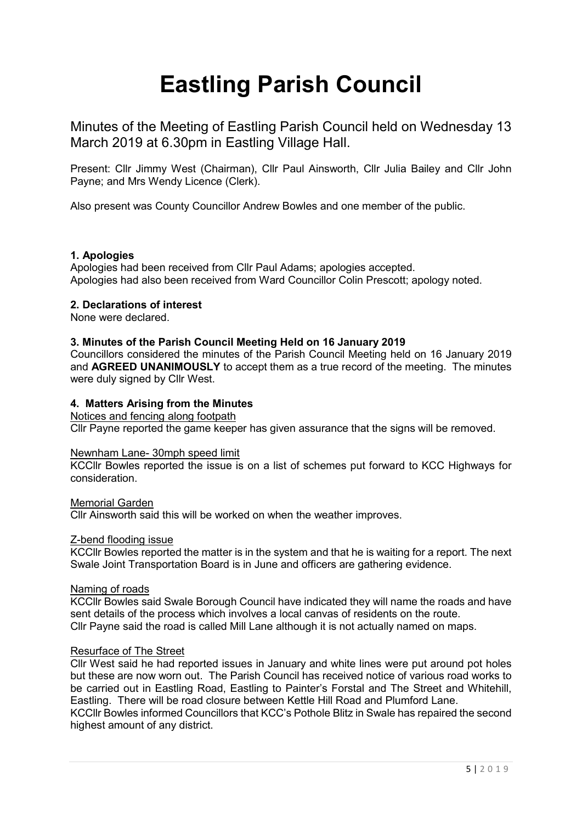# **Eastling Parish Council**

Minutes of the Meeting of Eastling Parish Council held on Wednesday 13 March 2019 at 6.30pm in Eastling Village Hall.

Present: Cllr Jimmy West (Chairman), Cllr Paul Ainsworth, Cllr Julia Bailey and Cllr John Payne; and Mrs Wendy Licence (Clerk).

Also present was County Councillor Andrew Bowles and one member of the public.

## **1. Apologies**

Apologies had been received from Cllr Paul Adams; apologies accepted. Apologies had also been received from Ward Councillor Colin Prescott; apology noted.

## **2. Declarations of interest**

None were declared.

## **3. Minutes of the Parish Council Meeting Held on 16 January 2019**

Councillors considered the minutes of the Parish Council Meeting held on 16 January 2019 and **AGREED UNANIMOUSLY** to accept them as a true record of the meeting. The minutes were duly signed by Cllr West.

## **4. Matters Arising from the Minutes**

## Notices and fencing along footpath

Cllr Payne reported the game keeper has given assurance that the signs will be removed.

## Newnham Lane- 30mph speed limit

KCCllr Bowles reported the issue is on a list of schemes put forward to KCC Highways for consideration.

## Memorial Garden

Cllr Ainsworth said this will be worked on when the weather improves.

## Z-bend flooding issue

KCCllr Bowles reported the matter is in the system and that he is waiting for a report. The next Swale Joint Transportation Board is in June and officers are gathering evidence.

## Naming of roads

KCCllr Bowles said Swale Borough Council have indicated they will name the roads and have sent details of the process which involves a local canvas of residents on the route. Cllr Payne said the road is called Mill Lane although it is not actually named on maps.

## Resurface of The Street

Cllr West said he had reported issues in January and white lines were put around pot holes but these are now worn out. The Parish Council has received notice of various road works to be carried out in Eastling Road, Eastling to Painter's Forstal and The Street and Whitehill, Eastling. There will be road closure between Kettle Hill Road and Plumford Lane. KCCllr Bowles informed Councillors that KCC's Pothole Blitz in Swale has repaired the second highest amount of any district.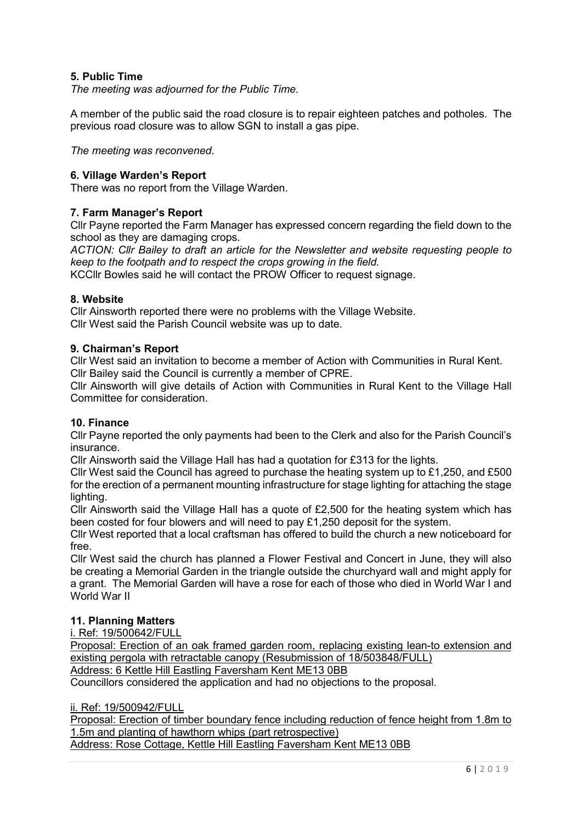# **5. Public Time**

*The meeting was adjourned for the Public Time.*

A member of the public said the road closure is to repair eighteen patches and potholes. The previous road closure was to allow SGN to install a gas pipe.

*The meeting was reconvened.*

## **6. Village Warden's Report**

There was no report from the Village Warden.

## **7. Farm Manager's Report**

Cllr Payne reported the Farm Manager has expressed concern regarding the field down to the school as they are damaging crops.

*ACTION: Cllr Bailey to draft an article for the Newsletter and website requesting people to keep to the footpath and to respect the crops growing in the field.*

KCCllr Bowles said he will contact the PROW Officer to request signage.

## **8. Website**

Cllr Ainsworth reported there were no problems with the Village Website. Cllr West said the Parish Council website was up to date.

## **9. Chairman's Report**

Cllr West said an invitation to become a member of Action with Communities in Rural Kent. Cllr Bailey said the Council is currently a member of CPRE.

Cllr Ainsworth will give details of Action with Communities in Rural Kent to the Village Hall Committee for consideration.

## **10. Finance**

Cllr Payne reported the only payments had been to the Clerk and also for the Parish Council's insurance.

Cllr Ainsworth said the Village Hall has had a quotation for £313 for the lights.

Cllr West said the Council has agreed to purchase the heating system up to £1,250, and £500 for the erection of a permanent mounting infrastructure for stage lighting for attaching the stage lighting.

Cllr Ainsworth said the Village Hall has a quote of £2,500 for the heating system which has been costed for four blowers and will need to pay £1,250 deposit for the system.

Cllr West reported that a local craftsman has offered to build the church a new noticeboard for free.

Cllr West said the church has planned a Flower Festival and Concert in June, they will also be creating a Memorial Garden in the triangle outside the churchyard wall and might apply for a grant. The Memorial Garden will have a rose for each of those who died in World War I and World War II

# **11. Planning Matters**

i. Ref: 19/500642/FULL

Proposal: Erection of an oak framed garden room, replacing existing lean-to extension and existing pergola with retractable canopy (Resubmission of 18/503848/FULL)

Address: 6 Kettle Hill Eastling Faversham Kent ME13 0BB

Councillors considered the application and had no objections to the proposal.

ii. Ref: 19/500942/FULL

Proposal: Erection of timber boundary fence including reduction of fence height from 1.8m to 1.5m and planting of hawthorn whips (part retrospective)

Address: Rose Cottage, Kettle Hill Eastling Faversham Kent ME13 0BB